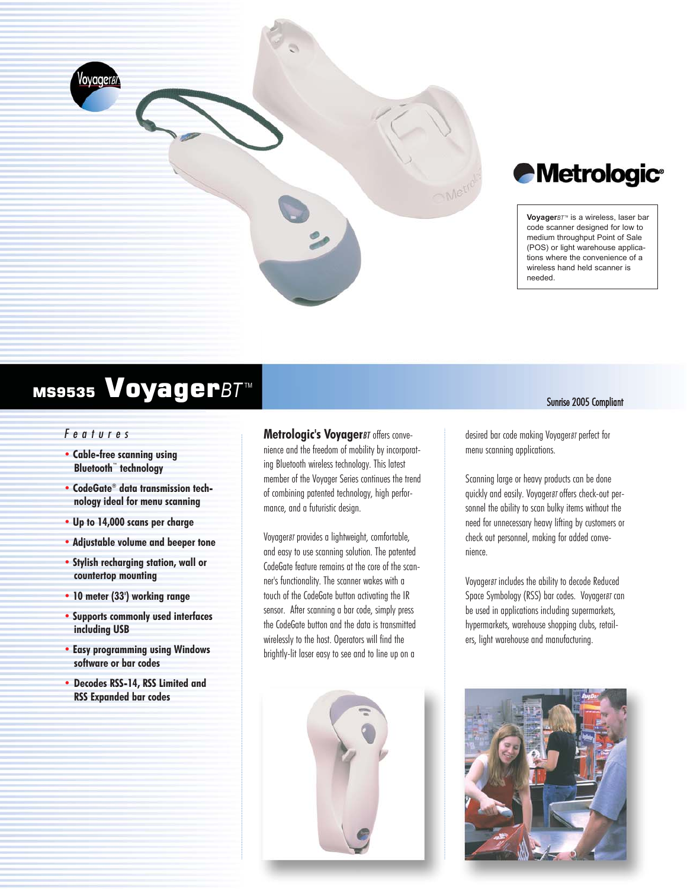

# *Metrologic®*

Voyager<sup>*BT™*</sup> is a wireless, laser bar code scanner designed for low to medium throughput Point of Sale (POS) or light warehouse applications where the convenience of a wireless hand held scanner is needed.

# MS9535 VoyagerBT<sup>™</sup>

# *Features*

- **Cable-free scanning using Bluetooth™ technology**
- **CodeGate® data transmission technology ideal for menu scanning**
- **Up to 14,000 scans per charge**
- **Adjustable volume and beeper tone**
- **Stylish recharging station, wall or countertop mounting**
- **10 meter (33') working range**
- **Supports commonly used interfaces including USB**
- **Easy programming using Windows software or bar codes**
- **• Decodes RSS-14, RSS Limited and RSS Expanded bar codes**

**Metrologic's Voyager***BT* offers convenience and the freedom of mobility by incorporating Bluetooth wireless technology. This latest member of the Voyager Series continues the trend of combining patented technology, high performance, and a futuristic design.

Voyager*BT* provides a lightweight, comfortable, and easy to use scanning solution. The patented CodeGate feature remains at the core of the scanner's functionality. The scanner wakes with a touch of the CodeGate button activating the IR sensor. After scanning a bar code, simply press the CodeGate button and the data is transmitted wirelessly to the host. Operators will find the brightly-lit laser easy to see and to line up on a



Sunrise 2005 Compliant

desired bar code making Voyager*BT* perfect for menu scanning applications.

Scanning large or heavy products can be done quickly and easily. Voyager*BT* offers check-out personnel the ability to scan bulky items without the need for unnecessary heavy lifting by customers or check out personnel, making for added convenience.

Voyager*BT* includes the ability to decode Reduced Space Symbology (RSS) bar codes. Voyager*BT* can be used in applications including supermarkets, hypermarkets, warehouse shopping clubs, retailers, light warehouse and manufacturing.